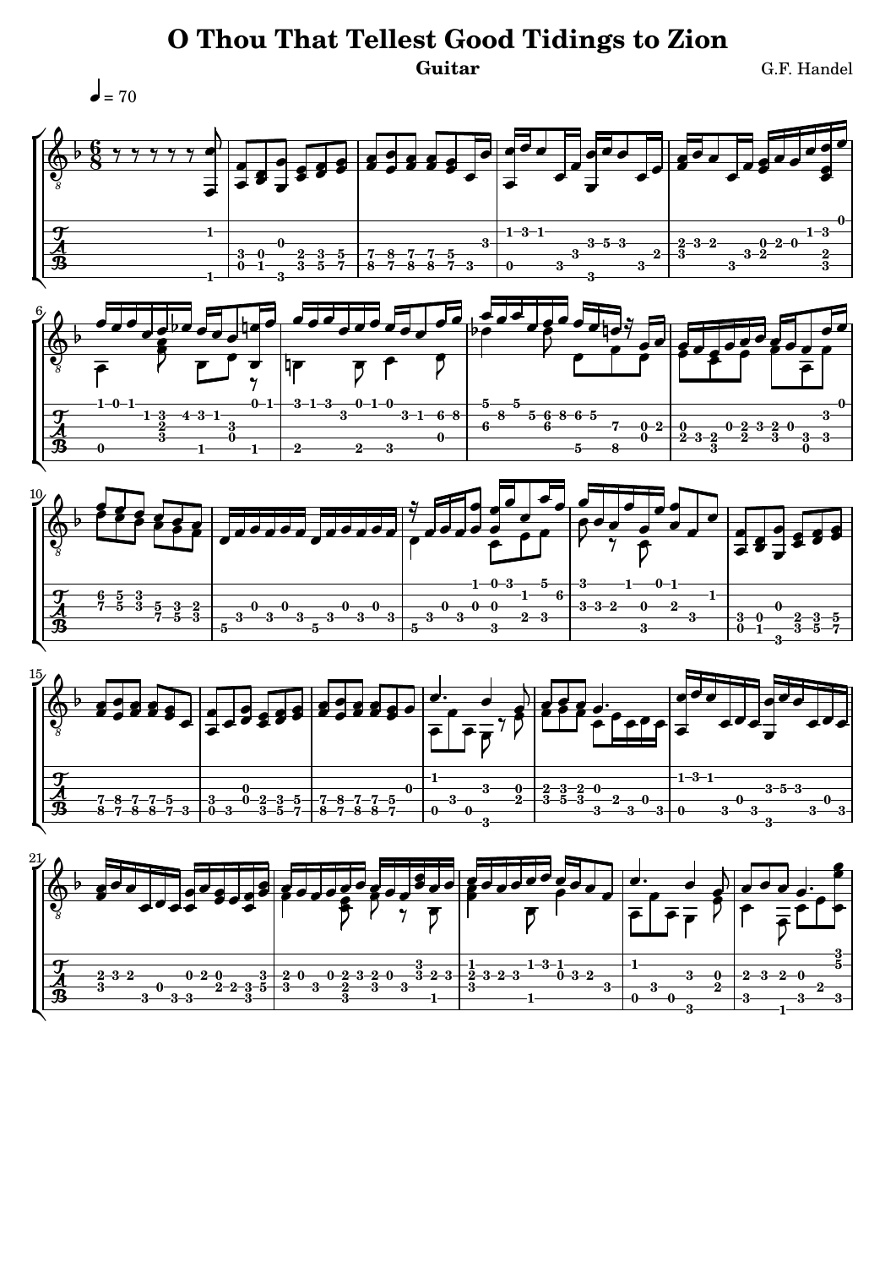## **O Thou That Tellest Good Tidings to Zion** Guitar G.F. Handel